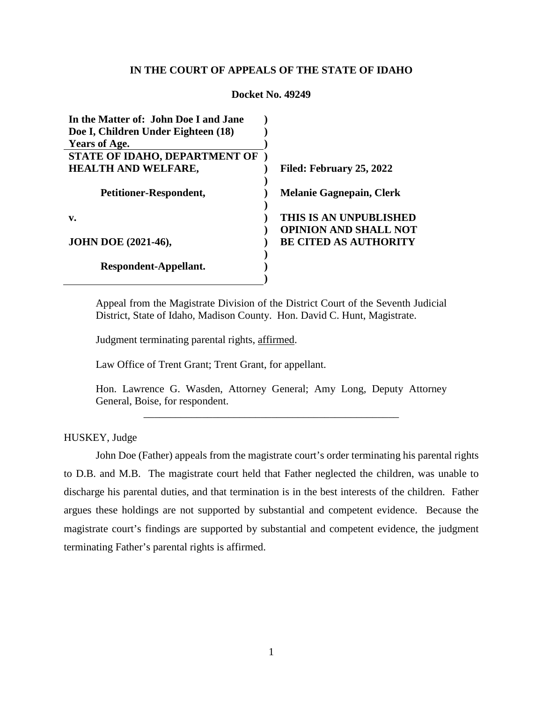# **IN THE COURT OF APPEALS OF THE STATE OF IDAHO**

| LUULAUL 1906 47.447                   |                                 |
|---------------------------------------|---------------------------------|
| In the Matter of: John Doe I and Jane |                                 |
| Doe I, Children Under Eighteen (18)   |                                 |
| <b>Years of Age.</b>                  |                                 |
| STATE OF IDAHO, DEPARTMENT OF         |                                 |
| <b>HEALTH AND WELFARE,</b>            | Filed: February 25, 2022        |
|                                       |                                 |
| Petitioner-Respondent,                | <b>Melanie Gagnepain, Clerk</b> |
|                                       |                                 |
| v.                                    | THIS IS AN UNPUBLISHED          |
|                                       | <b>OPINION AND SHALL NOT</b>    |
| <b>JOHN DOE (2021-46),</b>            | <b>BE CITED AS AUTHORITY</b>    |
|                                       |                                 |
| Respondent-Appellant.                 |                                 |
|                                       |                                 |

**Docket No. 49249**

Appeal from the Magistrate Division of the District Court of the Seventh Judicial District, State of Idaho, Madison County. Hon. David C. Hunt, Magistrate.

Judgment terminating parental rights, affirmed.

Law Office of Trent Grant; Trent Grant, for appellant.

Hon. Lawrence G. Wasden, Attorney General; Amy Long, Deputy Attorney General, Boise, for respondent.

\_\_\_\_\_\_\_\_\_\_\_\_\_\_\_\_\_\_\_\_\_\_\_\_\_\_\_\_\_\_\_\_\_\_\_\_\_\_\_\_\_\_\_\_\_\_\_\_

HUSKEY, Judge

John Doe (Father) appeals from the magistrate court's order terminating his parental rights to D.B. and M.B. The magistrate court held that Father neglected the children, was unable to discharge his parental duties, and that termination is in the best interests of the children. Father argues these holdings are not supported by substantial and competent evidence. Because the magistrate court's findings are supported by substantial and competent evidence, the judgment terminating Father's parental rights is affirmed.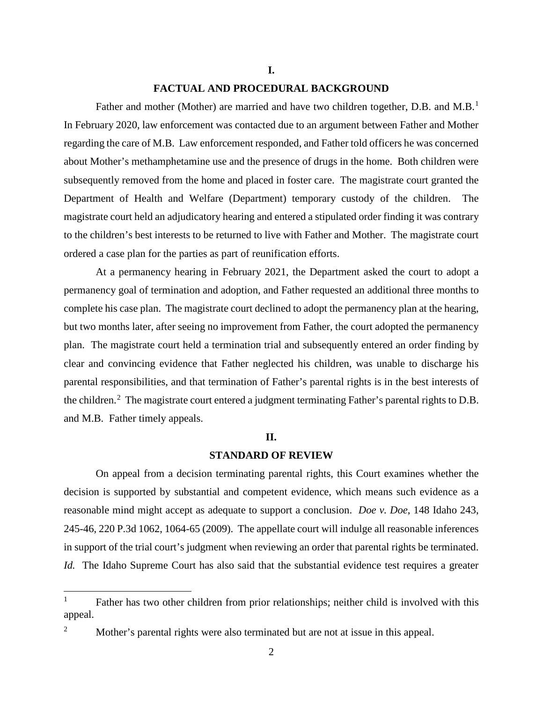#### **I.**

## **FACTUAL AND PROCEDURAL BACKGROUND**

Father and mother (Mother) are married and have two children together, D.B. and M.B.<sup>[1](#page-1-0)</sup> In February 2020, law enforcement was contacted due to an argument between Father and Mother regarding the care of M.B. Law enforcement responded, and Father told officers he was concerned about Mother's methamphetamine use and the presence of drugs in the home. Both children were subsequently removed from the home and placed in foster care. The magistrate court granted the Department of Health and Welfare (Department) temporary custody of the children. The magistrate court held an adjudicatory hearing and entered a stipulated order finding it was contrary to the children's best interests to be returned to live with Father and Mother. The magistrate court ordered a case plan for the parties as part of reunification efforts.

At a permanency hearing in February 2021, the Department asked the court to adopt a permanency goal of termination and adoption, and Father requested an additional three months to complete his case plan. The magistrate court declined to adopt the permanency plan at the hearing, but two months later, after seeing no improvement from Father, the court adopted the permanency plan. The magistrate court held a termination trial and subsequently entered an order finding by clear and convincing evidence that Father neglected his children, was unable to discharge his parental responsibilities, and that termination of Father's parental rights is in the best interests of the children.<sup>[2](#page-1-1)</sup> The magistrate court entered a judgment terminating Father's parental rights to D.B. and M.B. Father timely appeals.

#### **II.**

# **STANDARD OF REVIEW**

On appeal from a decision terminating parental rights, this Court examines whether the decision is supported by substantial and competent evidence, which means such evidence as a reasonable mind might accept as adequate to support a conclusion. *Doe v. Doe*, 148 Idaho 243, 245-46, 220 P.3d 1062, 1064-65 (2009). The appellate court will indulge all reasonable inferences in support of the trial court's judgment when reviewing an order that parental rights be terminated. *Id.* The Idaho Supreme Court has also said that the substantial evidence test requires a greater

<span id="page-1-0"></span><sup>&</sup>lt;sup>1</sup> Father has two other children from prior relationships; neither child is involved with this appeal.

<span id="page-1-1"></span><sup>2</sup> Mother's parental rights were also terminated but are not at issue in this appeal.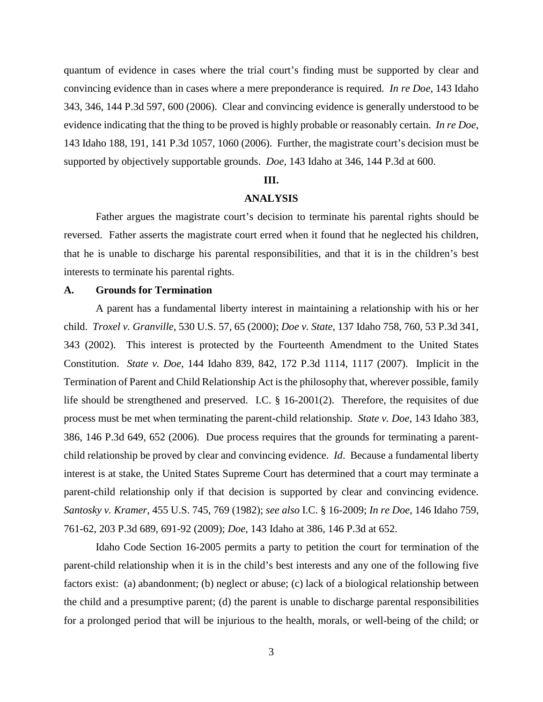quantum of evidence in cases where the trial court's finding must be supported by clear and convincing evidence than in cases where a mere preponderance is required. *In re Doe*, 143 Idaho 343, 346, 144 P.3d 597, 600 (2006). Clear and convincing evidence is generally understood to be evidence indicating that the thing to be proved is highly probable or reasonably certain. *In re Doe*, 143 Idaho 188, 191, 141 P.3d 1057, 1060 (2006). Further, the magistrate court's decision must be supported by objectively supportable grounds. *Doe*, 143 Idaho at 346, 144 P.3d at 600.

### **III.**

### **ANALYSIS**

Father argues the magistrate court's decision to terminate his parental rights should be reversed. Father asserts the magistrate court erred when it found that he neglected his children, that he is unable to discharge his parental responsibilities, and that it is in the children's best interests to terminate his parental rights.

# **A. Grounds for Termination**

A parent has a fundamental liberty interest in maintaining a relationship with his or her child. *Troxel v. Granville*, 530 U.S. 57, 65 (2000); *Doe v. State*, 137 Idaho 758, 760, 53 P.3d 341, 343 (2002). This interest is protected by the Fourteenth Amendment to the United States Constitution. *State v. Doe*, 144 Idaho 839, 842, 172 P.3d 1114, 1117 (2007). Implicit in the Termination of Parent and Child Relationship Act is the philosophy that, wherever possible, family life should be strengthened and preserved. I.C. § 16-2001(2). Therefore, the requisites of due process must be met when terminating the parent-child relationship. *State v. Doe*, 143 Idaho 383, 386, 146 P.3d 649, 652 (2006). Due process requires that the grounds for terminating a parentchild relationship be proved by clear and convincing evidence. *Id*. Because a fundamental liberty interest is at stake, the United States Supreme Court has determined that a court may terminate a parent-child relationship only if that decision is supported by clear and convincing evidence. *Santosky v. Kramer*, 455 U.S. 745, 769 (1982); *see also* I.C. § 16-2009; *In re Doe*, 146 Idaho 759, 761-62, 203 P.3d 689, 691-92 (2009); *Doe*, 143 Idaho at 386, 146 P.3d at 652.

Idaho Code Section 16-2005 permits a party to petition the court for termination of the parent-child relationship when it is in the child's best interests and any one of the following five factors exist: (a) abandonment; (b) neglect or abuse; (c) lack of a biological relationship between the child and a presumptive parent; (d) the parent is unable to discharge parental responsibilities for a prolonged period that will be injurious to the health, morals, or well-being of the child; or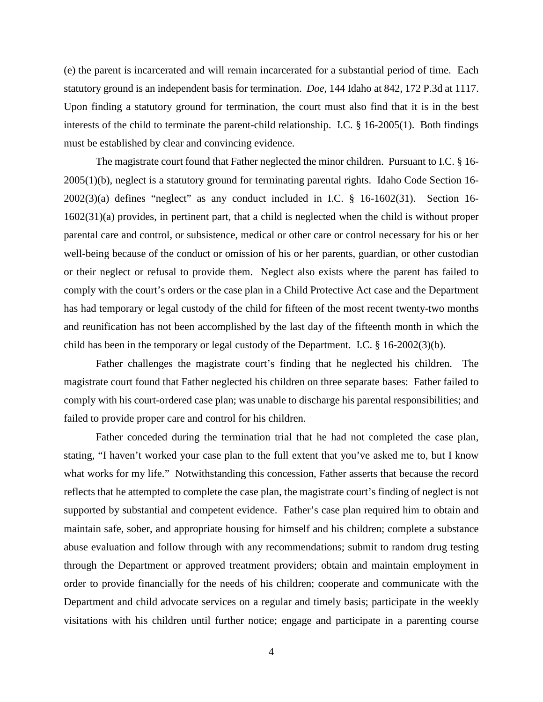(e) the parent is incarcerated and will remain incarcerated for a substantial period of time. Each statutory ground is an independent basis for termination. *Doe*, 144 Idaho at 842, 172 P.3d at 1117. Upon finding a statutory ground for termination, the court must also find that it is in the best interests of the child to terminate the parent-child relationship. I.C. § 16-2005(1). Both findings must be established by clear and convincing evidence.

The magistrate court found that Father neglected the minor children. Pursuant to I.C. § 16- 2005(1)(b), neglect is a statutory ground for terminating parental rights. Idaho Code Section 16-  $2002(3)(a)$  defines "neglect" as any conduct included in I.C. § 16-1602(31). Section 16-1602(31)(a) provides, in pertinent part, that a child is neglected when the child is without proper parental care and control, or subsistence, medical or other care or control necessary for his or her well-being because of the conduct or omission of his or her parents, guardian, or other custodian or their neglect or refusal to provide them. Neglect also exists where the parent has failed to comply with the court's orders or the case plan in a Child Protective Act case and the Department has had temporary or legal custody of the child for fifteen of the most recent twenty-two months and reunification has not been accomplished by the last day of the fifteenth month in which the child has been in the temporary or legal custody of the Department. I.C. § 16-2002(3)(b).

Father challenges the magistrate court's finding that he neglected his children. The magistrate court found that Father neglected his children on three separate bases: Father failed to comply with his court-ordered case plan; was unable to discharge his parental responsibilities; and failed to provide proper care and control for his children.

Father conceded during the termination trial that he had not completed the case plan, stating, "I haven't worked your case plan to the full extent that you've asked me to, but I know what works for my life." Notwithstanding this concession, Father asserts that because the record reflects that he attempted to complete the case plan, the magistrate court's finding of neglect is not supported by substantial and competent evidence. Father's case plan required him to obtain and maintain safe, sober, and appropriate housing for himself and his children; complete a substance abuse evaluation and follow through with any recommendations; submit to random drug testing through the Department or approved treatment providers; obtain and maintain employment in order to provide financially for the needs of his children; cooperate and communicate with the Department and child advocate services on a regular and timely basis; participate in the weekly visitations with his children until further notice; engage and participate in a parenting course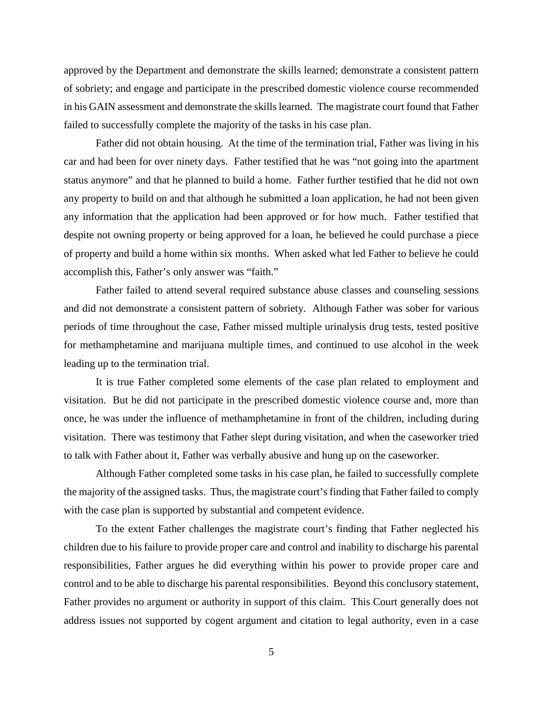approved by the Department and demonstrate the skills learned; demonstrate a consistent pattern of sobriety; and engage and participate in the prescribed domestic violence course recommended in his GAIN assessment and demonstrate the skills learned. The magistrate court found that Father failed to successfully complete the majority of the tasks in his case plan.

Father did not obtain housing. At the time of the termination trial, Father was living in his car and had been for over ninety days. Father testified that he was "not going into the apartment status anymore" and that he planned to build a home. Father further testified that he did not own any property to build on and that although he submitted a loan application, he had not been given any information that the application had been approved or for how much. Father testified that despite not owning property or being approved for a loan, he believed he could purchase a piece of property and build a home within six months. When asked what led Father to believe he could accomplish this, Father's only answer was "faith."

Father failed to attend several required substance abuse classes and counseling sessions and did not demonstrate a consistent pattern of sobriety. Although Father was sober for various periods of time throughout the case, Father missed multiple urinalysis drug tests, tested positive for methamphetamine and marijuana multiple times, and continued to use alcohol in the week leading up to the termination trial.

It is true Father completed some elements of the case plan related to employment and visitation. But he did not participate in the prescribed domestic violence course and, more than once, he was under the influence of methamphetamine in front of the children, including during visitation. There was testimony that Father slept during visitation, and when the caseworker tried to talk with Father about it, Father was verbally abusive and hung up on the caseworker.

Although Father completed some tasks in his case plan, he failed to successfully complete the majority of the assigned tasks. Thus, the magistrate court's finding that Father failed to comply with the case plan is supported by substantial and competent evidence.

To the extent Father challenges the magistrate court's finding that Father neglected his children due to his failure to provide proper care and control and inability to discharge his parental responsibilities, Father argues he did everything within his power to provide proper care and control and to be able to discharge his parental responsibilities. Beyond this conclusory statement, Father provides no argument or authority in support of this claim. This Court generally does not address issues not supported by cogent argument and citation to legal authority, even in a case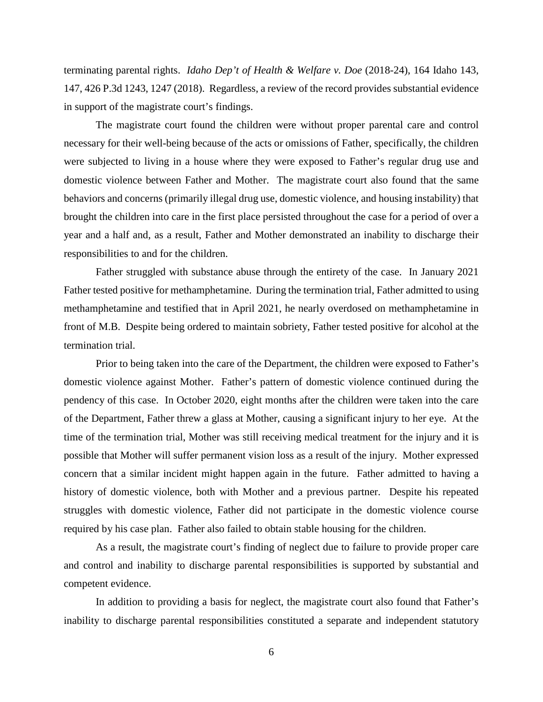terminating parental rights. *Idaho Dep't of Health & Welfare v. Doe* (2018-24), 164 Idaho 143, 147, 426 P.3d 1243, 1247 (2018). Regardless, a review of the record provides substantial evidence in support of the magistrate court's findings.

The magistrate court found the children were without proper parental care and control necessary for their well-being because of the acts or omissions of Father, specifically, the children were subjected to living in a house where they were exposed to Father's regular drug use and domestic violence between Father and Mother. The magistrate court also found that the same behaviors and concerns (primarily illegal drug use, domestic violence, and housing instability) that brought the children into care in the first place persisted throughout the case for a period of over a year and a half and, as a result, Father and Mother demonstrated an inability to discharge their responsibilities to and for the children.

Father struggled with substance abuse through the entirety of the case. In January 2021 Father tested positive for methamphetamine. During the termination trial, Father admitted to using methamphetamine and testified that in April 2021, he nearly overdosed on methamphetamine in front of M.B. Despite being ordered to maintain sobriety, Father tested positive for alcohol at the termination trial.

Prior to being taken into the care of the Department, the children were exposed to Father's domestic violence against Mother. Father's pattern of domestic violence continued during the pendency of this case. In October 2020, eight months after the children were taken into the care of the Department, Father threw a glass at Mother, causing a significant injury to her eye. At the time of the termination trial, Mother was still receiving medical treatment for the injury and it is possible that Mother will suffer permanent vision loss as a result of the injury. Mother expressed concern that a similar incident might happen again in the future. Father admitted to having a history of domestic violence, both with Mother and a previous partner. Despite his repeated struggles with domestic violence, Father did not participate in the domestic violence course required by his case plan. Father also failed to obtain stable housing for the children.

As a result, the magistrate court's finding of neglect due to failure to provide proper care and control and inability to discharge parental responsibilities is supported by substantial and competent evidence.

In addition to providing a basis for neglect, the magistrate court also found that Father's inability to discharge parental responsibilities constituted a separate and independent statutory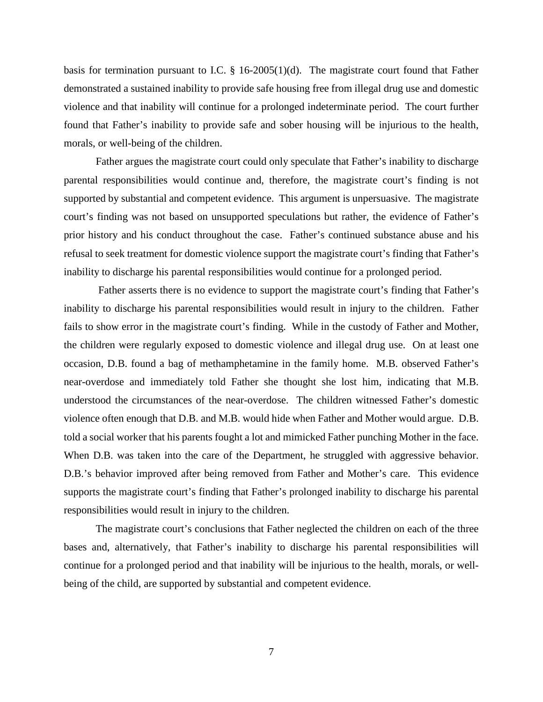basis for termination pursuant to I.C. § 16-2005(1)(d). The magistrate court found that Father demonstrated a sustained inability to provide safe housing free from illegal drug use and domestic violence and that inability will continue for a prolonged indeterminate period. The court further found that Father's inability to provide safe and sober housing will be injurious to the health, morals, or well-being of the children.

Father argues the magistrate court could only speculate that Father's inability to discharge parental responsibilities would continue and, therefore, the magistrate court's finding is not supported by substantial and competent evidence. This argument is unpersuasive. The magistrate court's finding was not based on unsupported speculations but rather, the evidence of Father's prior history and his conduct throughout the case. Father's continued substance abuse and his refusal to seek treatment for domestic violence support the magistrate court's finding that Father's inability to discharge his parental responsibilities would continue for a prolonged period.

Father asserts there is no evidence to support the magistrate court's finding that Father's inability to discharge his parental responsibilities would result in injury to the children. Father fails to show error in the magistrate court's finding. While in the custody of Father and Mother, the children were regularly exposed to domestic violence and illegal drug use. On at least one occasion, D.B. found a bag of methamphetamine in the family home. M.B. observed Father's near-overdose and immediately told Father she thought she lost him, indicating that M.B. understood the circumstances of the near-overdose. The children witnessed Father's domestic violence often enough that D.B. and M.B. would hide when Father and Mother would argue. D.B. told a social worker that his parents fought a lot and mimicked Father punching Mother in the face. When D.B. was taken into the care of the Department, he struggled with aggressive behavior. D.B.'s behavior improved after being removed from Father and Mother's care. This evidence supports the magistrate court's finding that Father's prolonged inability to discharge his parental responsibilities would result in injury to the children.

The magistrate court's conclusions that Father neglected the children on each of the three bases and, alternatively, that Father's inability to discharge his parental responsibilities will continue for a prolonged period and that inability will be injurious to the health, morals, or wellbeing of the child, are supported by substantial and competent evidence.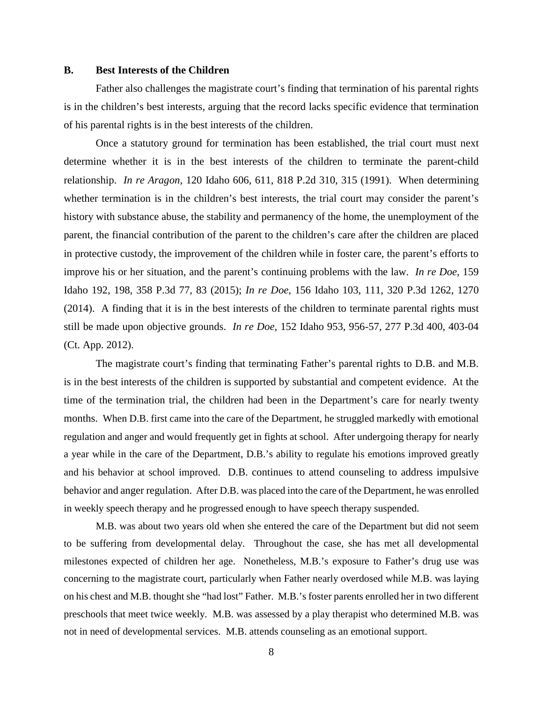### **B. Best Interests of the Children**

Father also challenges the magistrate court's finding that termination of his parental rights is in the children's best interests, arguing that the record lacks specific evidence that termination of his parental rights is in the best interests of the children.

Once a statutory ground for termination has been established, the trial court must next determine whether it is in the best interests of the children to terminate the parent-child relationship. *In re Aragon*, 120 Idaho 606, 611, 818 P.2d 310, 315 (1991). When determining whether termination is in the children's best interests, the trial court may consider the parent's history with substance abuse, the stability and permanency of the home, the unemployment of the parent, the financial contribution of the parent to the children's care after the children are placed in protective custody, the improvement of the children while in foster care, the parent's efforts to improve his or her situation, and the parent's continuing problems with the law. *In re Doe*, 159 Idaho 192, 198, 358 P.3d 77, 83 (2015); *In re Doe*, 156 Idaho 103, 111, 320 P.3d 1262, 1270 (2014). A finding that it is in the best interests of the children to terminate parental rights must still be made upon objective grounds. *In re Doe*, 152 Idaho 953, 956-57, 277 P.3d 400, 403-04 (Ct. App. 2012).

The magistrate court's finding that terminating Father's parental rights to D.B. and M.B. is in the best interests of the children is supported by substantial and competent evidence. At the time of the termination trial, the children had been in the Department's care for nearly twenty months. When D.B. first came into the care of the Department, he struggled markedly with emotional regulation and anger and would frequently get in fights at school. After undergoing therapy for nearly a year while in the care of the Department, D.B.'s ability to regulate his emotions improved greatly and his behavior at school improved. D.B. continues to attend counseling to address impulsive behavior and anger regulation. After D.B. was placed into the care of the Department, he was enrolled in weekly speech therapy and he progressed enough to have speech therapy suspended.

M.B. was about two years old when she entered the care of the Department but did not seem to be suffering from developmental delay. Throughout the case, she has met all developmental milestones expected of children her age. Nonetheless, M.B.'s exposure to Father's drug use was concerning to the magistrate court, particularly when Father nearly overdosed while M.B. was laying on his chest and M.B. thought she "had lost" Father. M.B.'s foster parents enrolled her in two different preschools that meet twice weekly. M.B. was assessed by a play therapist who determined M.B. was not in need of developmental services. M.B. attends counseling as an emotional support.